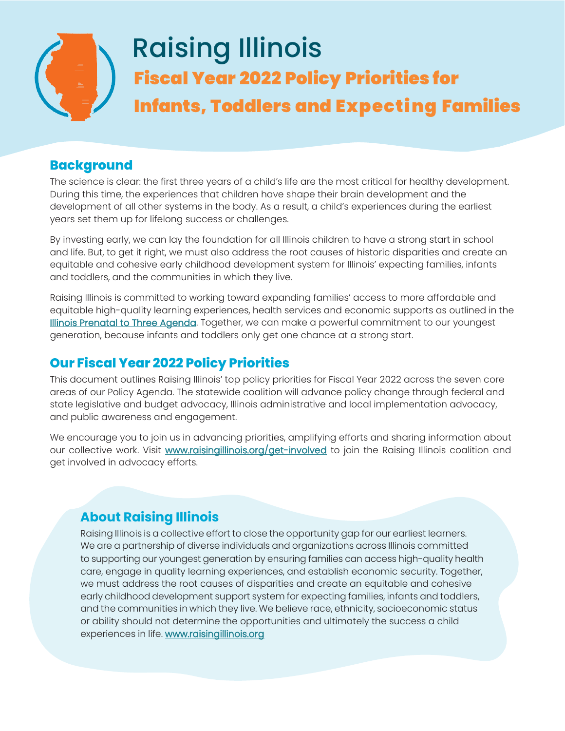

# **Background**

The science is clear: the first three years of a child's life are the most critical for healthy development. During this time, the experiences that children have shape their brain development and the development of all other systems in the body. As a result, a child's experiences during the earliest years set them up for lifelong success or challenges.

By investing early, we can lay the foundation for all Illinois children to have a strong start in school and life. But, to get it right, we must also address the root causes of historic disparities and create an equitable and cohesive early childhood development system for Illinois' expecting families, infants and toddlers, and the communities in which they live.

Raising Illinois is committed to working toward expanding families' access to more affordable and equitable high-quality learning experiences, health services and economic supports as outlined in the [Illinois Prenatal to Three Agenda.](https://www.raisingillinois.org/news___resources/ilpn3agenda/) Together, we can make a powerful commitment to our youngest generation, because infants and toddlers only get one chance at a strong start.

# **Our Fiscal Year 2022 Policy Priorities**

This document outlines Raising Illinois' top policy priorities for Fiscal Year 2022 across the seven core areas of our Policy Agenda. The statewide coalition will advance policy change through federal and state legislative and budget advocacy, Illinois administrative and local implementation advocacy, and public awareness and engagement.

We encourage you to join us in advancing priorities, amplifying efforts and sharing information about our collective work. Visit [www.raisingillinois.org/get-involved t](https://www.raisingillinois.org/get-involved/)o join the Raising Illinois coalition and get involved in advocacy efforts.

# **About Raising Illinois**

Raising Illinois is a collective effort to close the opportunity gap for our earliest learners. We are a partnership of diverse individuals and organizations across Illinois committed to supporting our youngest generation by ensuring families can access high-quality health care, engage in quality learning experiences, and establish economic security. Together, we must address the root causes of disparities and create an equitable and cohesive early childhood development support system for expecting families, infants and toddlers, and the communities in which they live. We believe race, ethnicity, socioeconomic status or ability should not determine the opportunities and ultimately the success a child experiences in life. www.raisingillinois.org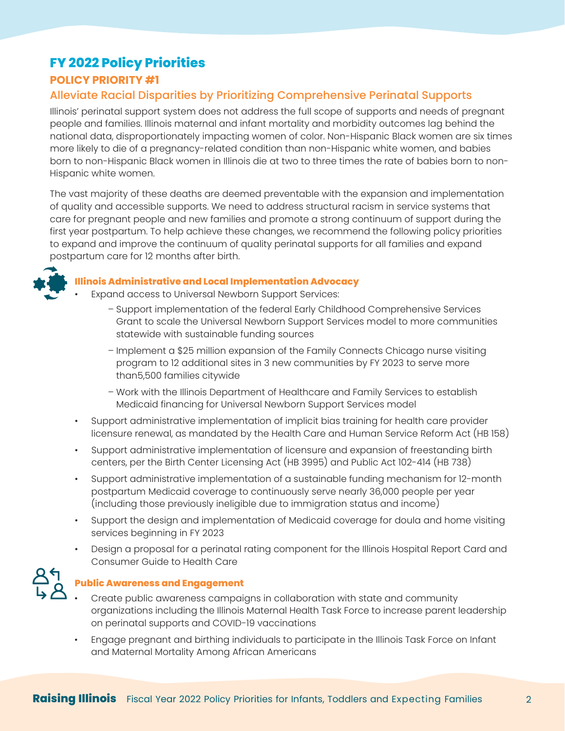# **FY 2022 Policy Priorities**

# **POLICY PRIORITY #1**

# Alleviate Racial Disparities by Prioritizing Comprehensive Perinatal Supports

Illinois' perinatal support system does not address the full scope of supports and needs of pregnant people and families. Illinois maternal and infant mortality and morbidity outcomes lag behind the national data, disproportionately impacting women of color. Non-Hispanic Black women are six times more likely to die of a pregnancy-related condition than non-Hispanic white women, and babies born to non-Hispanic Black women in Illinois die at two to three times the rate of babies born to non-Hispanic white women.

The vast majority of these deaths are deemed preventable with the expansion and implementation of quality and accessible supports. We need to address structural racism in service systems that care for pregnant people and new families and promote a strong continuum of support during the first year postpartum. To help achieve these changes, we recommend the following policy priorities to expand and improve the continuum of quality perinatal supports for all families and expand postpartum care for 12 months after birth.



#### **Illinois Administrative and Local Implementation Advocacy**

- Expand access to Universal Newborn Support Services:
	- Support implementation of the federal Early Childhood Comprehensive Services Grant to scale the Universal Newborn Support Services model to more communities statewide with sustainable funding sources
	- Implement a \$25 million expansion of the Family Connects Chicago nurse visiting program to 12 additional sites in 3 new communities by FY 2023 to serve more than5,500 families citywide
	- Work with the Illinois Department of Healthcare and Family Services to establish Medicaid financing for Universal Newborn Support Services model
- Support administrative implementation of implicit bias training for health care provider licensure renewal, as mandated by the Health Care and Human Service Reform Act (HB 158)
- Support administrative implementation of licensure and expansion of freestanding birth centers, per the Birth Center Licensing Act (HB 3995) and Public Act 102-414 (HB 738)
- Support administrative implementation of a sustainable funding mechanism for 12-month postpartum Medicaid coverage to continuously serve nearly 36,000 people per year (including those previously ineligible due to immigration status and income)
- Support the design and implementation of Medicaid coverage for doula and home visiting services beginning in FY 2023
- Design a proposal for a perinatal rating component for the Illinois Hospital Report Card and Consumer Guide to Health Care



#### **Public Awareness and Engagement**

- Create public awareness campaigns in collaboration with state and community organizations including the Illinois Maternal Health Task Force to increase parent leadership on perinatal supports and COVID-19 vaccinations
- Engage pregnant and birthing individuals to participate in the Illinois Task Force on Infant and Maternal Mortality Among African Americans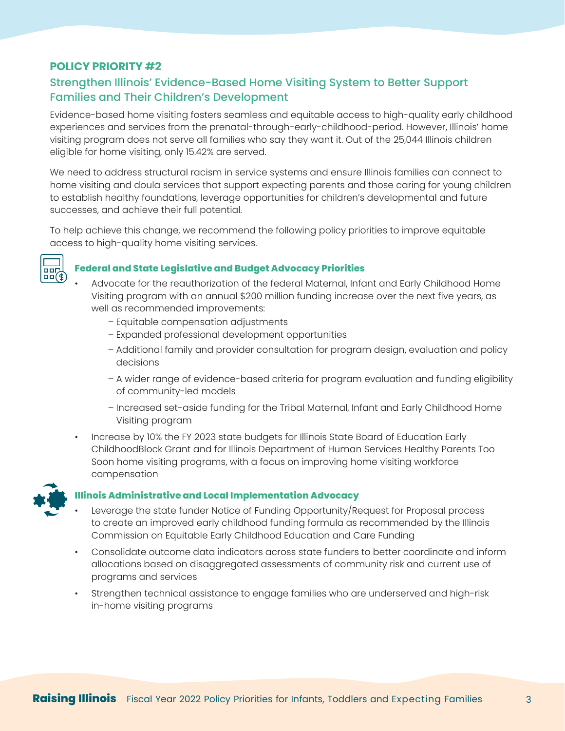# Strengthen Illinois' Evidence-Based Home Visiting System to Better Support Families and Their Children's Development

Evidence-based home visiting fosters seamless and equitable access to high-quality early childhood experiences and services from the prenatal-through-early-childhood-period. However, Illinois' home visiting program does not serve all families who say they want it. Out of the 25,044 Illinois children eligible for home visiting, only 15.42% are served.

We need to address structural racism in service systems and ensure Illinois families can connect to home visiting and doula services that support expecting parents and those caring for young children to establish healthy foundations, leverage opportunities for children's developmental and future successes, and achieve their full potential.

To help achieve this change, we recommend the following policy priorities to improve equitable access to high-quality home visiting services.



#### **Federal and State Legislative and Budget Advocacy Priorities**

- Advocate for the reauthorization of the federal Maternal, Infant and Early Childhood Home Visiting program with an annual \$200 million funding increase over the next five years, as well as recommended improvements:
	- Equitable compensation adjustments
	- Expanded professional development opportunities
	- Additional family and provider consultation for program design, evaluation and policy decisions
	- A wider range of evidence-based criteria for program evaluation and funding eligibility of community-led models
	- Increased set-aside funding for the Tribal Maternal, Infant and Early Childhood Home Visiting program
- Increase by 10% the FY 2023 state budgets for Illinois State Board of Education Early ChildhoodBlock Grant and for Illinois Department of Human Services Healthy Parents Too Soon home visiting programs, with a focus on improving home visiting workforce compensation



#### **Illinois Administrative and Local Implementation Advocacy**

- Leverage the state funder Notice of Funding Opportunity/Request for Proposal process to create an improved early childhood funding formula as recommended by the Illinois Commission on Equitable Early Childhood Education and Care Funding
- Consolidate outcome data indicators across state funders to better coordinate and inform allocations based on disaggregated assessments of community risk and current use of programs and services
- Strengthen technical assistance to engage families who are underserved and high-risk in-home visiting programs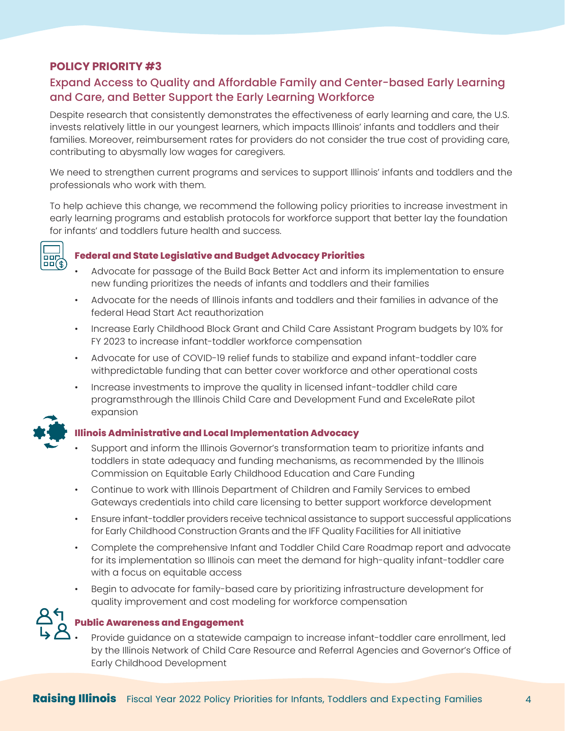# Expand Access to Quality and Affordable Family and Center-based Early Learning and Care, and Better Support the Early Learning Workforce

Despite research that consistently demonstrates the effectiveness of early learning and care, the U.S. invests relatively little in our youngest learners, which impacts Illinois' infants and toddlers and their families. Moreover, reimbursement rates for providers do not consider the true cost of providing care, contributing to abysmally low wages for caregivers.

We need to strengthen current programs and services to support Illinois' infants and toddlers and the professionals who work with them.

To help achieve this change, we recommend the following policy priorities to increase investment in early learning programs and establish protocols for workforce support that better lay the foundation for infants' and toddlers future health and success.



#### **Federal and State Legislative and Budget Advocacy Priorities**

- Advocate for passage of the Build Back Better Act and inform its implementation to ensure new funding prioritizes the needs of infants and toddlers and their families
- Advocate for the needs of Illinois infants and toddlers and their families in advance of the federal Head Start Act reauthorization
- Increase Early Childhood Block Grant and Child Care Assistant Program budgets by 10% for FY 2023 to increase infant-toddler workforce compensation
- Advocate for use of COVID-19 relief funds to stabilize and expand infant-toddler care withpredictable funding that can better cover workforce and other operational costs
- Increase investments to improve the quality in licensed infant-toddler child care programsthrough the Illinois Child Care and Development Fund and ExceleRate pilot expansion



#### **Illinois Administrative and Local Implementation Advocacy**

- Support and inform the Illinois Governor's transformation team to prioritize infants and toddlers in state adequacy and funding mechanisms, as recommended by the Illinois Commission on Equitable Early Childhood Education and Care Funding
- Continue to work with Illinois Department of Children and Family Services to embed Gateways credentials into child care licensing to better support workforce development
- Ensure infant-toddler providers receive technical assistance to support successful applications for Early Childhood Construction Grants and the IFF Quality Facilities for All initiative
- Complete the comprehensive Infant and Toddler Child Care Roadmap report and advocate for its implementation so Illinois can meet the demand for high-quality infant-toddler care with a focus on equitable access
- Begin to advocate for family-based care by prioritizing infrastructure development for quality improvement and cost modeling for workforce compensation

#### **Public Awareness and Engagement**

• Provide guidance on a statewide campaign to increase infant-toddler care enrollment, led by the Illinois Network of Child Care Resource and Referral Agencies and Governor's Office of Early Childhood Development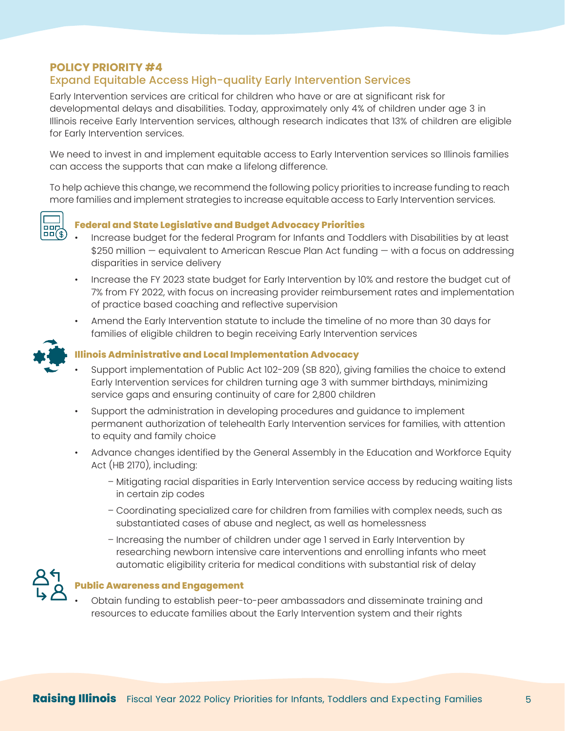#### Expand Equitable Access High-quality Early Intervention Services

Early Intervention services are critical for children who have or are at significant risk for developmental delays and disabilities. Today, approximately only 4% of children under age 3 in Illinois receive Early Intervention services, although research indicates that 13% of children are eligible for Early Intervention services.

We need to invest in and implement equitable access to Early Intervention services so Illinois families can access the supports that can make a lifelong difference.

To help achieve this change, we recommend the following policy priorities to increase funding to reach more families and implement strategies to increase equitable access to Early Intervention services.



#### **Federal and State Legislative and Budget Advocacy Priorities**

- Increase budget for the federal Program for Infants and Toddlers with Disabilities by at least \$250 million — equivalent to American Rescue Plan Act funding — with a focus on addressing disparities in service delivery
- Increase the FY 2023 state budget for Early Intervention by 10% and restore the budget cut of 7% from FY 2022, with focus on increasing provider reimbursement rates and implementation of practice based coaching and reflective supervision
- Amend the Early Intervention statute to include the timeline of no more than 30 days for families of eligible children to begin receiving Early Intervention services



#### **Illinois Administrative and Local Implementation Advocacy**

- Support implementation of Public Act 102-209 (SB 820), giving families the choice to extend Early Intervention services for children turning age 3 with summer birthdays, minimizing service gaps and ensuring continuity of care for 2,800 children
- Support the administration in developing procedures and guidance to implement permanent authorization of telehealth Early Intervention services for families, with attention to equity and family choice
- Advance changes identified by the General Assembly in the Education and Workforce Equity Act (HB 2170), including:
	- Mitigating racial disparities in Early Intervention service access by reducing waiting lists in certain zip codes
	- Coordinating specialized care for children from families with complex needs, such as substantiated cases of abuse and neglect, as well as homelessness
	- Increasing the number of children under age 1 served in Early Intervention by researching newborn intensive care interventions and enrolling infants who meet automatic eligibility criteria for medical conditions with substantial risk of delay



#### **Public Awareness and Engagement**

• Obtain funding to establish peer-to-peer ambassadors and disseminate training and resources to educate families about the Early Intervention system and their rights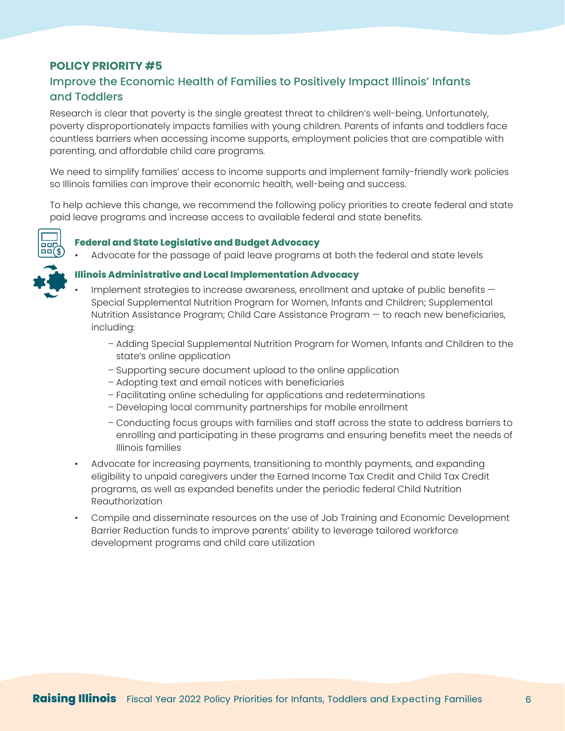# Improve the Economic Health of Families to Positively Impact Illinois' Infants and Toddlers

Research is clear that poverty is the single greatest threat to children's well-being. Unfortunately, poverty disproportionately impacts families with young children. Parents of infants and toddlers face countless barriers when accessing income supports, employment policies that are compatible with parenting, and affordable child care programs.

We need to simplify families' access to income supports and implement family-friendly work policies so Illinois families can improve their economic health, well-being and success.

To help achieve this change, we recommend the following policy priorities to create federal and state paid leave programs and increase access to available federal and state benefits.



#### **Federal and State Legislative and Budget Advocacy**

• Advocate for the passage of paid leave programs at both the federal and state levels



#### **Illinois Administrative and Local Implementation Advocacy**

- Implement strategies to increase awareness, enrollment and uptake of public benefits  $-$ Special Supplemental Nutrition Program for Women, Infants and Children; Supplemental Nutrition Assistance Program; Child Care Assistance Program — to reach new beneficiaries, including:
	- Adding Special Supplemental Nutrition Program for Women, Infants and Children to the state's online application
	- Supporting secure document upload to the online application
	- Adopting text and email notices with beneficiaries
	- Facilitating online scheduling for applications and redeterminations
	- Developing local community partnerships for mobile enrollment
	- Conducting focus groups with families and staff across the state to address barriers to enrolling and participating in these programs and ensuring benefits meet the needs of Illinois families
- Advocate for increasing payments, transitioning to monthly payments, and expanding eligibility to unpaid caregivers under the Earned Income Tax Credit and Child Tax Credit programs, as well as expanded benefits under the periodic federal Child Nutrition Reauthorization
- Compile and disseminate resources on the use of Job Training and Economic Development Barrier Reduction funds to improve parents' ability to leverage tailored workforce development programs and child care utilization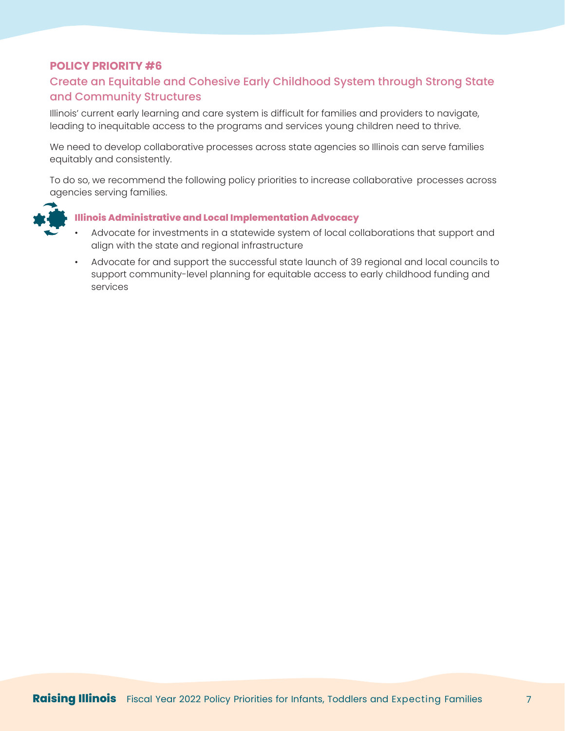# Create an Equitable and Cohesive Early Childhood System through Strong State and Community Structures

Illinois' current early learning and care system is difficult for families and providers to navigate, leading to inequitable access to the programs and services young children need to thrive.

We need to develop collaborative processes across state agencies so Illinois can serve families equitably and consistently.

To do so, we recommend the following policy priorities to increase collaborative processes across agencies serving families.



#### **Illinois Administrative and Local Implementation Advocacy**

- Advocate for investments in a statewide system of local collaborations that support and align with the state and regional infrastructure
- Advocate for and support the successful state launch of 39 regional and local councils to support community-level planning for equitable access to early childhood funding and services